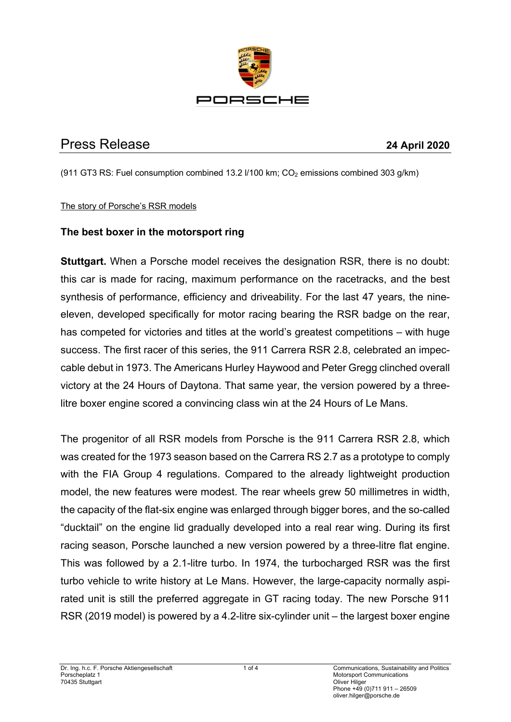

# Press Release **24 April 2020**

(911 GT3 RS: Fuel consumption combined 13.2  $I/100$  km;  $CO<sub>2</sub>$  emissions combined 303 g/km)

#### The story of Porsche's RSR models

## **The best boxer in the motorsport ring**

**Stuttgart.** When a Porsche model receives the designation RSR, there is no doubt: this car is made for racing, maximum performance on the racetracks, and the best synthesis of performance, efficiency and driveability. For the last 47 years, the nineeleven, developed specifically for motor racing bearing the RSR badge on the rear, has competed for victories and titles at the world's greatest competitions – with huge success. The first racer of this series, the 911 Carrera RSR 2.8, celebrated an impeccable debut in 1973. The Americans Hurley Haywood and Peter Gregg clinched overall victory at the 24 Hours of Daytona. That same year, the version powered by a threelitre boxer engine scored a convincing class win at the 24 Hours of Le Mans.

The progenitor of all RSR models from Porsche is the 911 Carrera RSR 2.8, which was created for the 1973 season based on the Carrera RS 2.7 as a prototype to comply with the FIA Group 4 regulations. Compared to the already lightweight production model, the new features were modest. The rear wheels grew 50 millimetres in width, the capacity of the flat-six engine was enlarged through bigger bores, and the so-called "ducktail" on the engine lid gradually developed into a real rear wing. During its first racing season, Porsche launched a new version powered by a three-litre flat engine. This was followed by a 2.1-litre turbo. In 1974, the turbocharged RSR was the first turbo vehicle to write history at Le Mans. However, the large-capacity normally aspirated unit is still the preferred aggregate in GT racing today. The new Porsche 911 RSR (2019 model) is powered by a 4.2-litre six-cylinder unit – the largest boxer engine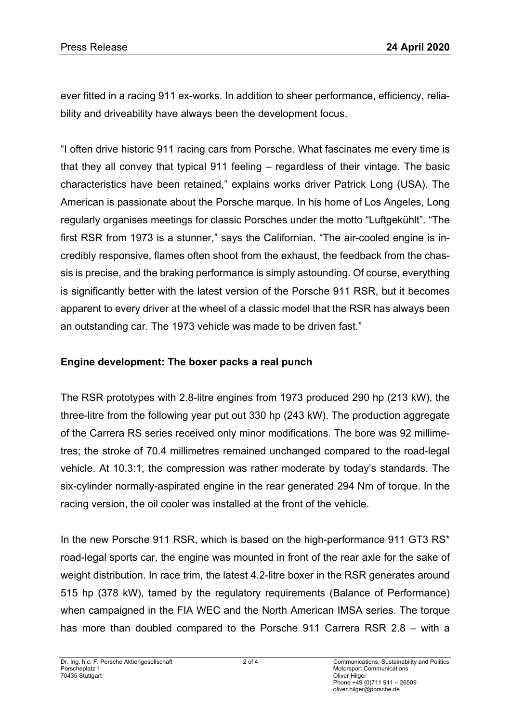ever fitted in a racing 911 ex-works. In addition to sheer performance, efficiency, reliability and driveability have always been the development focus.

"I often drive historic 911 racing cars from Porsche. What fascinates me every time is that they all convey that typical 911 feeling – regardless of their vintage. The basic characteristics have been retained," explains works driver Patrick Long (USA). The American is passionate about the Porsche marque. In his home of Los Angeles, Long regularly organises meetings for classic Porsches under the motto "Luftgekühlt". "The first RSR from 1973 is a stunner," says the Californian. "The air-cooled engine is incredibly responsive, flames often shoot from the exhaust, the feedback from the chassis is precise, and the braking performance is simply astounding. Of course, everything is significantly better with the latest version of the Porsche 911 RSR, but it becomes apparent to every driver at the wheel of a classic model that the RSR has always been an outstanding car. The 1973 vehicle was made to be driven fast."

#### **Engine development: The boxer packs a real punch**

The RSR prototypes with 2.8-litre engines from 1973 produced 290 hp (213 kW), the three-litre from the following year put out 330 hp (243 kW). The production aggregate of the Carrera RS series received only minor modifications. The bore was 92 millimetres; the stroke of 70.4 millimetres remained unchanged compared to the road-legal vehicle. At 10.3:1, the compression was rather moderate by today's standards. The six-cylinder normally-aspirated engine in the rear generated 294 Nm of torque. In the racing version, the oil cooler was installed at the front of the vehicle.

In the new Porsche 911 RSR, which is based on the high-performance 911 GT3 RS\* road-legal sports car, the engine was mounted in front of the rear axle for the sake of weight distribution. In race trim, the latest 4.2-litre boxer in the RSR generates around 515 hp (378 kW), tamed by the regulatory requirements (Balance of Performance) when campaigned in the FIA WEC and the North American IMSA series. The torque has more than doubled compared to the Porsche 911 Carrera RSR 2.8 – with a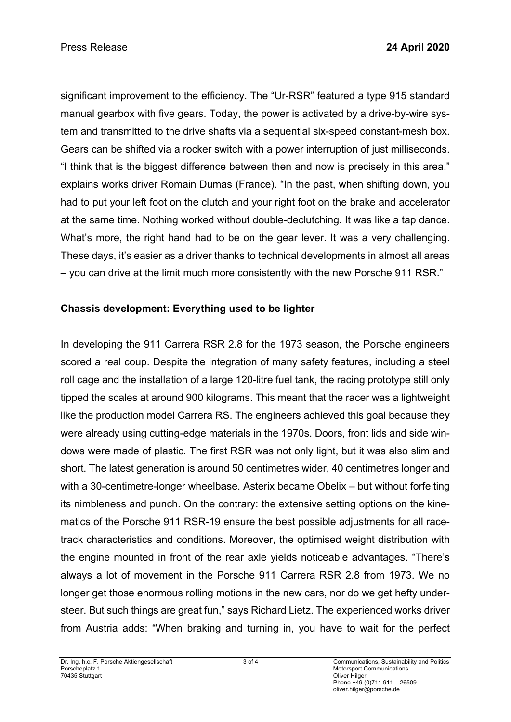significant improvement to the efficiency. The "Ur-RSR" featured a type 915 standard manual gearbox with five gears. Today, the power is activated by a drive-by-wire system and transmitted to the drive shafts via a sequential six-speed constant-mesh box. Gears can be shifted via a rocker switch with a power interruption of just milliseconds. "I think that is the biggest difference between then and now is precisely in this area," explains works driver Romain Dumas (France). "In the past, when shifting down, you had to put your left foot on the clutch and your right foot on the brake and accelerator at the same time. Nothing worked without double-declutching. It was like a tap dance. What's more, the right hand had to be on the gear lever. It was a very challenging. These days, it's easier as a driver thanks to technical developments in almost all areas – you can drive at the limit much more consistently with the new Porsche 911 RSR."

## **Chassis development: Everything used to be lighter**

In developing the 911 Carrera RSR 2.8 for the 1973 season, the Porsche engineers scored a real coup. Despite the integration of many safety features, including a steel roll cage and the installation of a large 120-litre fuel tank, the racing prototype still only tipped the scales at around 900 kilograms. This meant that the racer was a lightweight like the production model Carrera RS. The engineers achieved this goal because they were already using cutting-edge materials in the 1970s. Doors, front lids and side windows were made of plastic. The first RSR was not only light, but it was also slim and short. The latest generation is around 50 centimetres wider, 40 centimetres longer and with a 30-centimetre-longer wheelbase. Asterix became Obelix – but without forfeiting its nimbleness and punch. On the contrary: the extensive setting options on the kinematics of the Porsche 911 RSR-19 ensure the best possible adjustments for all racetrack characteristics and conditions. Moreover, the optimised weight distribution with the engine mounted in front of the rear axle yields noticeable advantages. "There's always a lot of movement in the Porsche 911 Carrera RSR 2.8 from 1973. We no longer get those enormous rolling motions in the new cars, nor do we get hefty understeer. But such things are great fun," says Richard Lietz. The experienced works driver from Austria adds: "When braking and turning in, you have to wait for the perfect